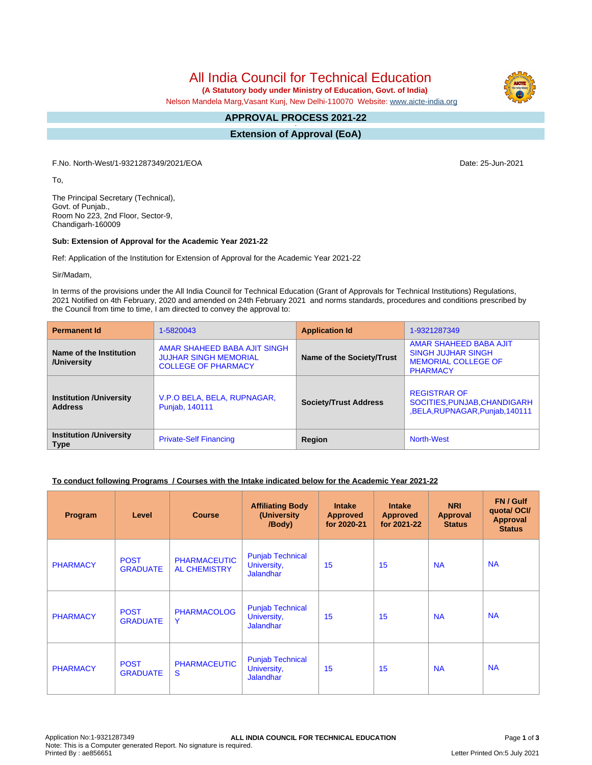All India Council for Technical Education

 **(A Statutory body under Ministry of Education, Govt. of India)**

Nelson Mandela Marg,Vasant Kunj, New Delhi-110070 Website: [www.aicte-india.org](http://www.aicte-india.org)

#### **APPROVAL PROCESS 2021-22 -**

**Extension of Approval (EoA)**

F.No. North-West/1-9321287349/2021/EOA Date: 25-Jun-2021

To,

The Principal Secretary (Technical), Govt. of Punjab., Room No 223, 2nd Floor, Sector-9, Chandigarh-160009

#### **Sub: Extension of Approval for the Academic Year 2021-22**

Ref: Application of the Institution for Extension of Approval for the Academic Year 2021-22

Sir/Madam,

In terms of the provisions under the All India Council for Technical Education (Grant of Approvals for Technical Institutions) Regulations, 2021 Notified on 4th February, 2020 and amended on 24th February 2021 and norms standards, procedures and conditions prescribed by the Council from time to time, I am directed to convey the approval to:

| <b>Permanent Id</b>                                                            | 1-5820043                                                                                  | <b>Application Id</b>        | 1-9321287349                                                                                         |  |
|--------------------------------------------------------------------------------|--------------------------------------------------------------------------------------------|------------------------------|------------------------------------------------------------------------------------------------------|--|
| Name of the Institution<br>/University                                         | AMAR SHAHEED BABA AJIT SINGH<br><b>JUJHAR SINGH MEMORIAL</b><br><b>COLLEGE OF PHARMACY</b> | Name of the Society/Trust    | AMAR SHAHEED BABA AJIT<br><b>SINGH JUJHAR SINGH</b><br><b>MEMORIAL COLLEGE OF</b><br><b>PHARMACY</b> |  |
| <b>Institution /University</b><br><b>Address</b>                               | V.P.O BELA, BELA, RUPNAGAR,<br>Punjab, 140111                                              | <b>Society/Trust Address</b> | <b>REGISTRAR OF</b><br>SOCITIES, PUNJAB, CHANDIGARH<br>,BELA,RUPNAGAR,Punjab,140111                  |  |
| <b>Institution /University</b><br><b>Private-Self Financing</b><br><b>Type</b> |                                                                                            | Region                       | <b>North-West</b>                                                                                    |  |

### **To conduct following Programs / Courses with the Intake indicated below for the Academic Year 2021-22**

| Program         | Level                          | <b>Course</b>                              | <b>Affiliating Body</b><br>(University<br>/Body)           | <b>Intake</b><br><b>Approved</b><br>for 2020-21 | <b>Intake</b><br><b>Approved</b><br>for 2021-22 | <b>NRI</b><br>Approval<br><b>Status</b> | FN / Gulf<br>quota/OCI/<br><b>Approval</b><br><b>Status</b> |
|-----------------|--------------------------------|--------------------------------------------|------------------------------------------------------------|-------------------------------------------------|-------------------------------------------------|-----------------------------------------|-------------------------------------------------------------|
| <b>PHARMACY</b> | <b>POST</b><br><b>GRADUATE</b> | <b>PHARMACEUTIC</b><br><b>AL CHEMISTRY</b> | <b>Punjab Technical</b><br>University,<br><b>Jalandhar</b> | 15                                              | 15                                              | <b>NA</b>                               | <b>NA</b>                                                   |
| <b>PHARMACY</b> | <b>POST</b><br><b>GRADUATE</b> | <b>PHARMACOLOG</b><br>Y                    | <b>Punjab Technical</b><br>University,<br><b>Jalandhar</b> | 15                                              | 15                                              | <b>NA</b>                               | <b>NA</b>                                                   |
| <b>PHARMACY</b> | <b>POST</b><br><b>GRADUATE</b> | <b>PHARMACEUTIC</b><br>S                   | <b>Punjab Technical</b><br>University,<br><b>Jalandhar</b> | 15                                              | 15                                              | <b>NA</b>                               | <b>NA</b>                                                   |

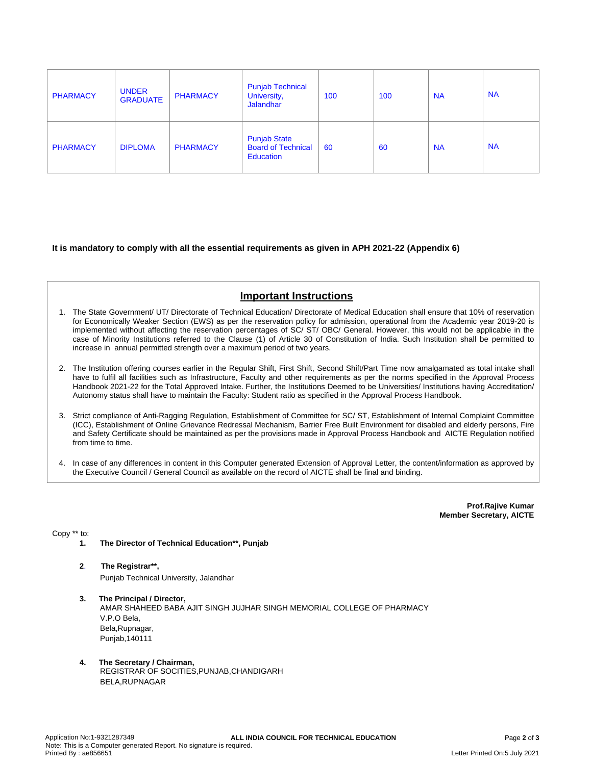| <b>PHARMACY</b> | <b>UNDER</b><br><b>GRADUATE</b> | <b>PHARMACY</b> | <b>Punjab Technical</b><br>University,<br><b>Jalandhar</b>           | 100 | 100 | <b>NA</b> | <b>NA</b> |
|-----------------|---------------------------------|-----------------|----------------------------------------------------------------------|-----|-----|-----------|-----------|
| <b>PHARMACY</b> | <b>DIPLOMA</b>                  | <b>PHARMACY</b> | <b>Punjab State</b><br><b>Board of Technical</b><br><b>Education</b> | 60  | 60  | <b>NA</b> | <b>NA</b> |

### **It is mandatory to comply with all the essential requirements as given in APH 2021-22 (Appendix 6)**

# **Important Instructions**

- 1. The State Government/ UT/ Directorate of Technical Education/ Directorate of Medical Education shall ensure that 10% of reservation for Economically Weaker Section (EWS) as per the reservation policy for admission, operational from the Academic year 2019-20 is implemented without affecting the reservation percentages of SC/ ST/ OBC/ General. However, this would not be applicable in the case of Minority Institutions referred to the Clause (1) of Article 30 of Constitution of India. Such Institution shall be permitted to increase in annual permitted strength over a maximum period of two years.
- 2. The Institution offering courses earlier in the Regular Shift, First Shift, Second Shift/Part Time now amalgamated as total intake shall have to fulfil all facilities such as Infrastructure, Faculty and other requirements as per the norms specified in the Approval Process Handbook 2021-22 for the Total Approved Intake. Further, the Institutions Deemed to be Universities/ Institutions having Accreditation/ Autonomy status shall have to maintain the Faculty: Student ratio as specified in the Approval Process Handbook.
- 3. Strict compliance of Anti-Ragging Regulation, Establishment of Committee for SC/ ST, Establishment of Internal Complaint Committee (ICC), Establishment of Online Grievance Redressal Mechanism, Barrier Free Built Environment for disabled and elderly persons, Fire and Safety Certificate should be maintained as per the provisions made in Approval Process Handbook and AICTE Regulation notified from time to time.
- 4. In case of any differences in content in this Computer generated Extension of Approval Letter, the content/information as approved by the Executive Council / General Council as available on the record of AICTE shall be final and binding.

**Prof.Rajive Kumar Member Secretary, AICTE**

Copy \*\* to:

- **1. The Director of Technical Education\*\*, Punjab**
- **2**. **The Registrar\*\*,** Punjab Technical University, Jalandhar
- **3. The Principal / Director,** AMAR SHAHEED BABA AJIT SINGH JUJHAR SINGH MEMORIAL COLLEGE OF PHARMACY V.P.O Bela, Bela,Rupnagar, Punjab,140111
- **4. The Secretary / Chairman,** REGISTRAR OF SOCITIES,PUNJAB,CHANDIGARH BELA,RUPNAGAR